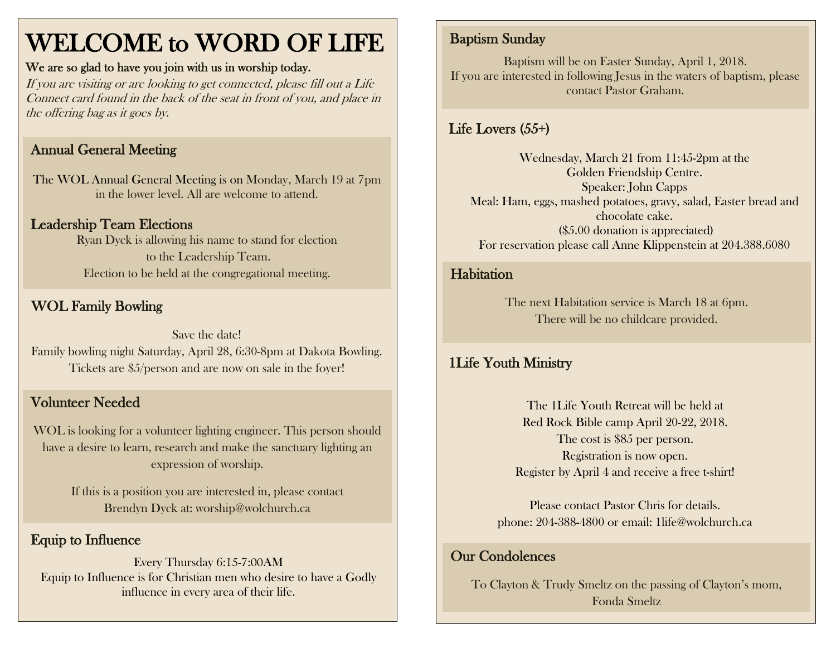## WELCOME to WORD OF LIFE

#### We are so glad to have you join with us in worship today.

If you are visiting or are looking to get connected, please fill out a Life Connect card found in the back of the seat in front of you, and place in the offering bag as it goes by.

### Annual General Meeting

The WOL Annual General Meeting is on Monday, March 19 at 7pm in the lower level. All are welcome to attend.

## Leadership Team Elections

Ryan Dyck is allowing his name to stand for election to the Leadership Team. Election to be held at the congregational meeting.

## WOL Family Bowling

Save the date! Family bowling night Saturday, April 28, 6:30-8pm at Dakota Bowling. Tickets are \$5/person and are now on sale in the foyer!

## Volunteer Needed

WOL is looking for a volunteer lighting engineer. This person should have a desire to learn, research and make the sanctuary lighting an expression of worship.

> If this is a position you are interested in, please contact Brendyn Dyck at: worship@wolchurch.ca

#### Equip to Influence

Every Thursday 6:15-7:00AM Equip to Influence is for Christian men who desire to have a Godly influence in every area of their life.

## Baptism Sunday

Baptism will be on Easter Sunday, April 1, 2018. If you are interested in following Jesus in the waters of baptism, please contact Pastor Graham.

## Life Lovers (55+)

Wednesday, March 21 from 11:45-2pm at the Golden Friendship Centre. Speaker: John Capps Meal: Ham, eggs, mashed potatoes, gravy, salad, Easter bread and chocolate cake. (\$5.00 donation is appreciated) For reservation please call Anne Klippenstein at 204.388.6080

#### **Habitation**

The next Habitation service is March 18 at 6pm. There will be no childcare provided.

#### 1Life Youth Ministry

The 1Life Youth Retreat will be held at Red Rock Bible camp April 20-22, 2018. The cost is \$85 per person. Registration is now open. Register by April 4 and receive a free t-shirt!

Please contact Pastor Chris for details. phone: 204-388-4800 or email: 1life@wolchurch.ca

#### Our Condolences

To Clayton & Trudy Smeltz on the passing of Clayton's mom, Fonda Smeltz